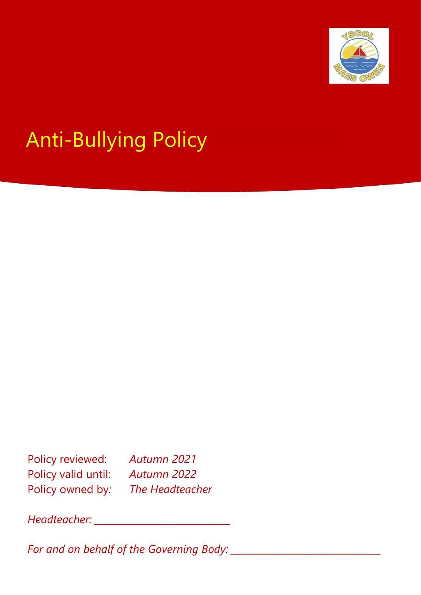

# Anti-Bullying Policy

Policy reviewed: *Autumn 2021* Policy valid until: *Autumn 2022* Policy owned by*: The Headteacher*

*Headteacher: \_\_\_\_\_\_\_\_\_\_\_\_\_\_\_\_\_\_\_\_\_\_\_\_\_\_\_\_\_*

*For and on behalf of the Governing Body: \_\_\_\_\_\_\_\_\_\_\_\_\_\_\_\_\_\_\_\_\_\_\_\_\_\_\_\_\_\_\_\_*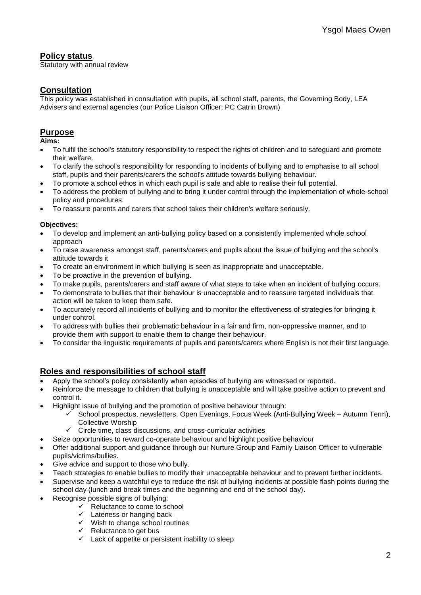# **Policy status**

Statutory with annual review

## **Consultation**

This policy was established in consultation with pupils, all school staff, parents, the Governing Body, LEA Advisers and external agencies (our Police Liaison Officer; PC Catrin Brown)

## **Purpose**

#### **Aims:**

- To fulfil the school's statutory responsibility to respect the rights of children and to safeguard and promote their welfare.
- To clarify the school's responsibility for responding to incidents of bullying and to emphasise to all school staff, pupils and their parents/carers the school's attitude towards bullying behaviour.
- To promote a school ethos in which each pupil is safe and able to realise their full potential.
- To address the problem of bullying and to bring it under control through the implementation of whole-school policy and procedures.
- To reassure parents and carers that school takes their children's welfare seriously.

#### **Objectives:**

- To develop and implement an anti-bullying policy based on a consistently implemented whole school approach
- To raise awareness amongst staff, parents/carers and pupils about the issue of bullying and the school's attitude towards it
- To create an environment in which bullying is seen as inappropriate and unacceptable.
- To be proactive in the prevention of bullying.
- To make pupils, parents/carers and staff aware of what steps to take when an incident of bullying occurs.
- To demonstrate to bullies that their behaviour is unacceptable and to reassure targeted individuals that action will be taken to keep them safe.
- To accurately record all incidents of bullying and to monitor the effectiveness of strategies for bringing it under control.
- To address with bullies their problematic behaviour in a fair and firm, non-oppressive manner, and to provide them with support to enable them to change their behaviour.
- To consider the linguistic requirements of pupils and parents/carers where English is not their first language.

# **Roles and responsibilities of school staff**

- Apply the school's policy consistently when episodes of bullying are witnessed or reported.
- Reinforce the message to children that bullying is unacceptable and will take positive action to prevent and control it.
- Highlight issue of bullying and the promotion of positive behaviour through:
	- School prospectus, newsletters, Open Evenings, Focus Week (Anti-Bullying Week Autumn Term), Collective Worship
	- $\checkmark$  Circle time, class discussions, and cross-curricular activities
- Seize opportunities to reward co-operate behaviour and highlight positive behaviour
- Offer additional support and guidance through our Nurture Group and Family Liaison Officer to vulnerable pupils/victims/bullies.
- Give advice and support to those who bully.
- Teach strategies to enable bullies to modify their unacceptable behaviour and to prevent further incidents.
- Supervise and keep a watchful eye to reduce the risk of bullying incidents at possible flash points during the school day (lunch and break times and the beginning and end of the school day).
- Recognise possible signs of bullying:
	- $\checkmark$  Reluctance to come to school
	- $\checkmark$  Lateness or hanging back
	- $\checkmark$  Wish to change school routines
	- $\checkmark$  Reluctance to get bus
	- $\checkmark$  Lack of appetite or persistent inability to sleep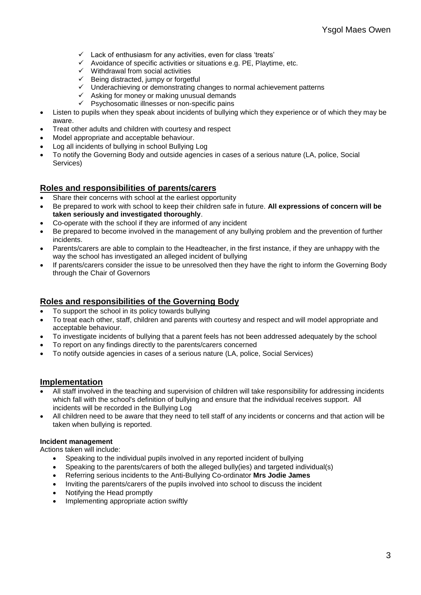- $\checkmark$  Lack of enthusiasm for any activities, even for class 'treats'
- $\checkmark$  Avoidance of specific activities or situations e.g. PE, Playtime, etc.
- $\checkmark$  Withdrawal from social activities
- $\checkmark$  Being distracted, jumpy or forgetful
- $\checkmark$  Underachieving or demonstrating changes to normal achievement patterns
- $\checkmark$  Asking for money or making unusual demands
- $\checkmark$  Psychosomatic illnesses or non-specific pains
- Listen to pupils when they speak about incidents of bullying which they experience or of which they may be aware.
- Treat other adults and children with courtesy and respect
- Model appropriate and acceptable behaviour.
- Log all incidents of bullying in school Bullying Log
- To notify the Governing Body and outside agencies in cases of a serious nature (LA, police, Social Services)

## **Roles and responsibilities of parents/carers**

- Share their concerns with school at the earliest opportunity
- Be prepared to work with school to keep their children safe in future. **All expressions of concern will be taken seriously and investigated thoroughly**.
- Co-operate with the school if they are informed of any incident
- Be prepared to become involved in the management of any bullying problem and the prevention of further incidents.
- Parents/carers are able to complain to the Headteacher, in the first instance, if they are unhappy with the way the school has investigated an alleged incident of bullying
- If parents/carers consider the issue to be unresolved then they have the right to inform the Governing Body through the Chair of Governors

## **Roles and responsibilities of the Governing Body**

- To support the school in its policy towards bullying
- To treat each other, staff, children and parents with courtesy and respect and will model appropriate and acceptable behaviour.
- To investigate incidents of bullying that a parent feels has not been addressed adequately by the school
- To report on any findings directly to the parents/carers concerned
- To notify outside agencies in cases of a serious nature (LA, police, Social Services)

#### **Implementation**

- All staff involved in the teaching and supervision of children will take responsibility for addressing incidents which fall with the school's definition of bullying and ensure that the individual receives support. All incidents will be recorded in the Bullying Log
- All children need to be aware that they need to tell staff of any incidents or concerns and that action will be taken when bullying is reported.

#### **Incident management**

Actions taken will include:

- Speaking to the individual pupils involved in any reported incident of bullying
- Speaking to the parents/carers of both the alleged bully(ies) and targeted individual(s)
- Referring serious incidents to the Anti-Bullying Co-ordinator **Mrs Jodie James**
- Inviting the parents/carers of the pupils involved into school to discuss the incident
- Notifying the Head promptly
- Implementing appropriate action swiftly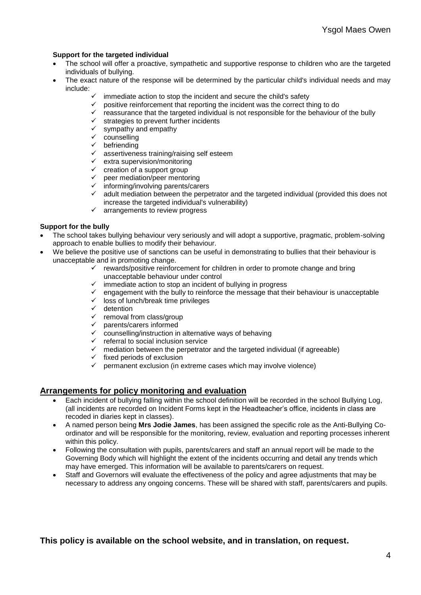#### **Support for the targeted individual**

- The school will offer a proactive, sympathetic and supportive response to children who are the targeted individuals of bullying.
- The exact nature of the response will be determined by the particular child's individual needs and may include:
	- immediate action to stop the incident and secure the child's safety
	- $\checkmark$  positive reinforcement that reporting the incident was the correct thing to do
	- $\checkmark$  reassurance that the targeted individual is not responsible for the behaviour of the bully
	- $\checkmark$  strategies to prevent further incidents
	- $\checkmark$  sympathy and empathy
	- $\times$  counselling
	- $\checkmark$  befriending
	- $\checkmark$  assertiveness training/raising self esteem
	- $\checkmark$  extra supervision/monitoring
	- $\checkmark$  creation of a support group
	- $\checkmark$  peer mediation/peer mentoring
	- $\checkmark$  informing/involving parents/carers
	- $\checkmark$  adult mediation between the perpetrator and the targeted individual (provided this does not increase the targeted individual's vulnerability)
	- $\checkmark$  arrangements to review progress

#### **Support for the bully**

- The school takes bullying behaviour very seriously and will adopt a supportive, pragmatic, problem-solving approach to enable bullies to modify their behaviour.
- We believe the positive use of sanctions can be useful in demonstrating to bullies that their behaviour is unacceptable and in promoting change.
	- $\checkmark$  rewards/positive reinforcement for children in order to promote change and bring unacceptable behaviour under control
	- $\checkmark$  immediate action to stop an incident of bullying in progress
	- $\checkmark$  engagement with the bully to reinforce the message that their behaviour is unacceptable
	- $\times$  loss of lunch/break time privileges
	- $\checkmark$  detention
	- ← determent<br>← removal from class/group
	- $\checkmark$  parents/carers informed
	- $\checkmark$  counselling/instruction in alternative ways of behaving
	- $\checkmark$  referral to social inclusion service
	- $\checkmark$  mediation between the perpetrator and the targeted individual (if agreeable)
	- $\checkmark$  fixed periods of exclusion
	- $\checkmark$  permanent exclusion (in extreme cases which may involve violence)

#### **Arrangements for policy monitoring and evaluation**

- Each incident of bullying falling within the school definition will be recorded in the school Bullying Log, (all incidents are recorded on Incident Forms kept in the Headteacher's office, incidents in class are recoded in diaries kept in classes).
- A named person being **Mrs Jodie James**, has been assigned the specific role as the Anti-Bullying Coordinator and will be responsible for the monitoring, review, evaluation and reporting processes inherent within this policy.
- Following the consultation with pupils, parents/carers and staff an annual report will be made to the Governing Body which will highlight the extent of the incidents occurring and detail any trends which may have emerged. This information will be available to parents/carers on request.
- Staff and Governors will evaluate the effectiveness of the policy and agree adjustments that may be necessary to address any ongoing concerns. These will be shared with staff, parents/carers and pupils.

**This policy is available on the school website, and in translation, on request.**